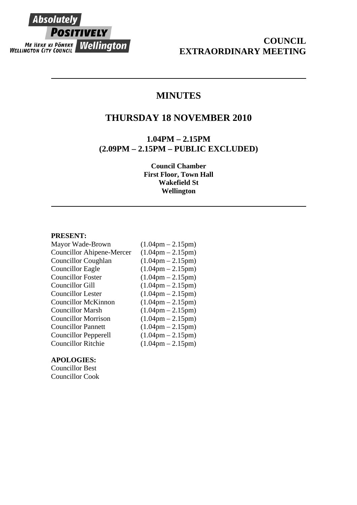

# **COUNCIL EXTRAORDINARY MEETING**

# **MINUTES**

## **THURSDAY 18 NOVEMBER 2010**

**1.04PM – 2.15PM (2.09PM – 2.15PM – PUBLIC EXCLUDED)** 

> **Council Chamber First Floor, Town Hall Wakefield St Wellington**

#### **PRESENT:**

| Mayor Wade-Brown            | $(1.04 \text{pm} - 2.15 \text{pm})$ |
|-----------------------------|-------------------------------------|
| Councillor Ahipene-Mercer   | $(1.04 \text{pm} - 2.15 \text{pm})$ |
| <b>Councillor Coughlan</b>  | $(1.04 \text{pm} - 2.15 \text{pm})$ |
| <b>Councillor Eagle</b>     | $(1.04 \text{pm} - 2.15 \text{pm})$ |
| <b>Councillor Foster</b>    | $(1.04 \text{pm} - 2.15 \text{pm})$ |
| Councillor Gill             | $(1.04 \text{pm} - 2.15 \text{pm})$ |
| <b>Councillor Lester</b>    | $(1.04 \text{pm} - 2.15 \text{pm})$ |
| <b>Councillor McKinnon</b>  | $(1.04 \text{pm} - 2.15 \text{pm})$ |
| <b>Councillor Marsh</b>     | $(1.04 \text{pm} - 2.15 \text{pm})$ |
| <b>Councillor Morrison</b>  | $(1.04 \text{pm} - 2.15 \text{pm})$ |
| <b>Councillor Pannett</b>   | $(1.04 \text{pm} - 2.15 \text{pm})$ |
| <b>Councillor Pepperell</b> | $(1.04 \text{pm} - 2.15 \text{pm})$ |
| Councillor Ritchie          | $(1.04 \text{pm} - 2.15 \text{pm})$ |
|                             |                                     |

## **APOLOGIES:**

Councillor Best Councillor Cook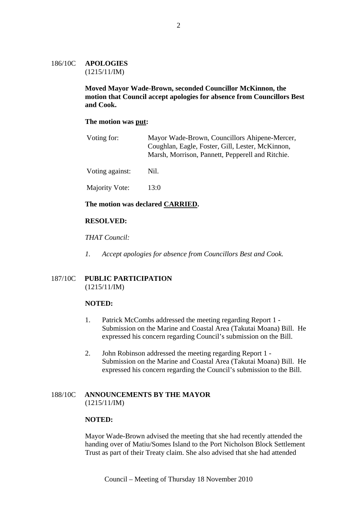## 186/10C **APOLOGIES** (1215/11/IM)

**Moved Mayor Wade-Brown, seconded Councillor McKinnon, the motion that Council accept apologies for absence from Councillors Best and Cook.** 

## **The motion was put:**

| Voting for:     | Mayor Wade-Brown, Councillors Ahipene-Mercer,<br>Coughlan, Eagle, Foster, Gill, Lester, McKinnon,<br>Marsh, Morrison, Pannett, Pepperell and Ritchie. |
|-----------------|-------------------------------------------------------------------------------------------------------------------------------------------------------|
| Voting against: | Nil.                                                                                                                                                  |
| Majority Vote:  | 13:0                                                                                                                                                  |

## **The motion was declared CARRIED.**

## **RESOLVED:**

## *THAT Council:*

*1. Accept apologies for absence from Councillors Best and Cook.* 

## 187/10C **PUBLIC PARTICIPATION** (1215/11/IM)

#### **NOTED:**

- 1. Patrick McCombs addressed the meeting regarding Report 1 Submission on the Marine and Coastal Area (Takutai Moana) Bill. He expressed his concern regarding Council's submission on the Bill.
- 2. John Robinson addressed the meeting regarding Report 1 Submission on the Marine and Coastal Area (Takutai Moana) Bill. He expressed his concern regarding the Council's submission to the Bill.

## 188/10C **ANNOUNCEMENTS BY THE MAYOR** (1215/11/IM)

#### **NOTED:**

Mayor Wade-Brown advised the meeting that she had recently attended the handing over of Matiu/Somes Island to the Port Nicholson Block Settlement Trust as part of their Treaty claim. She also advised that she had attended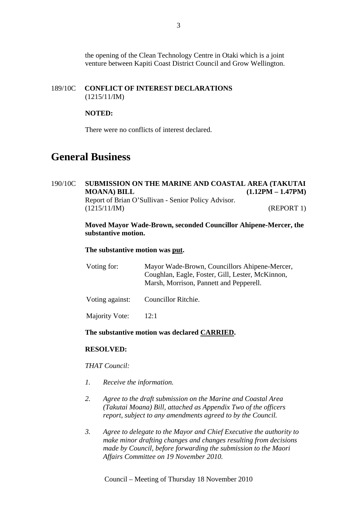the opening of the Clean Technology Centre in Otaki which is a joint venture between Kapiti Coast District Council and Grow Wellington.

## 189/10C **CONFLICT OF INTEREST DECLARATIONS** (1215/11/IM)

## **NOTED:**

There were no conflicts of interest declared.

# **General Business**

## 190/10C **SUBMISSION ON THE MARINE AND COASTAL AREA (TAKUTAI MOANA) BILL (1.12PM – 1.47PM)** Report of Brian O'Sullivan - Senior Policy Advisor. (1215/11/IM) (REPORT 1)

## **Moved Mayor Wade-Brown, seconded Councillor Ahipene-Mercer, the substantive motion.**

#### **The substantive motion was put.**

| Voting for: | Mayor Wade-Brown, Councillors Ahipene-Mercer,    |
|-------------|--------------------------------------------------|
|             | Coughlan, Eagle, Foster, Gill, Lester, McKinnon, |
|             | Marsh, Morrison, Pannett and Pepperell.          |
|             |                                                  |

Voting against: Councillor Ritchie.

Majority Vote: 12:1

## **The substantive motion was declared CARRIED.**

#### **RESOLVED:**

## *THAT Council:*

- *1. Receive the information.*
- *2. Agree to the draft submission on the Marine and Coastal Area (Takutai Moana) Bill, attached as Appendix Two of the officers report, subject to any amendments agreed to by the Council.*
- *3. Agree to delegate to the Mayor and Chief Executive the authority to make minor drafting changes and changes resulting from decisions made by Council, before forwarding the submission to the Maori Affairs Committee on 19 November 2010.*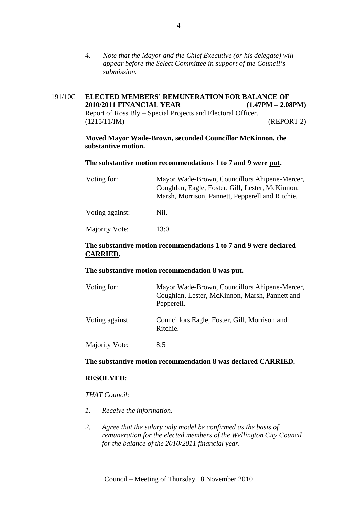*4. Note that the Mayor and the Chief Executive (or his delegate) will appear before the Select Committee in support of the Council's submission.* 

## 191/10C **ELECTED MEMBERS' REMUNERATION FOR BALANCE OF 2010/2011 FINANCIAL YEAR (1.47PM – 2.08PM)** Report of Ross Bly – Special Projects and Electoral Officer. (1215/11/IM) (REPORT 2)

**Moved Mayor Wade-Brown, seconded Councillor McKinnon, the substantive motion.** 

#### **The substantive motion recommendations 1 to 7 and 9 were put.**

| Voting for:     | Mayor Wade-Brown, Councillors Ahipene-Mercer,<br>Coughlan, Eagle, Foster, Gill, Lester, McKinnon,<br>Marsh, Morrison, Pannett, Pepperell and Ritchie. |  |
|-----------------|-------------------------------------------------------------------------------------------------------------------------------------------------------|--|
| Voting against: | Nil.                                                                                                                                                  |  |
| Majority Vote:  | 13:0                                                                                                                                                  |  |

## **The substantive motion recommendations 1 to 7 and 9 were declared CARRIED.**

#### **The substantive motion recommendation 8 was put.**

| Voting for:     | Mayor Wade-Brown, Councillors Ahipene-Mercer,<br>Coughlan, Lester, McKinnon, Marsh, Pannett and<br>Pepperell. |
|-----------------|---------------------------------------------------------------------------------------------------------------|
| Voting against: | Councillors Eagle, Foster, Gill, Morrison and<br>Ritchie.                                                     |
| Majority Vote:  | 8:5                                                                                                           |

#### **The substantive motion recommendation 8 was declared CARRIED.**

## **RESOLVED:**

## *THAT Council:*

- *1. Receive the information.*
- *2. Agree that the salary only model be confirmed as the basis of remuneration for the elected members of the Wellington City Council for the balance of the 2010/2011 financial year.*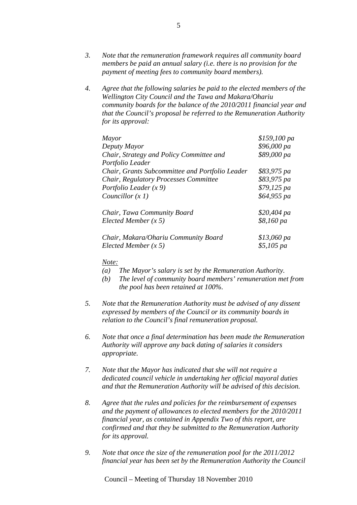- *3. Note that the remuneration framework requires all community board members be paid an annual salary (i.e. there is no provision for the payment of meeting fees to community board members).*
- *4. Agree that the following salaries be paid to the elected members of the Wellington City Council and the Tawa and Makara/Ohariu community boards for the balance of the 2010/2011 financial year and that the Council's proposal be referred to the Remuneration Authority for its approval:*

| Mayor                                           | \$159,100 pa |
|-------------------------------------------------|--------------|
| Deputy Mayor                                    | \$96,000 pa  |
| Chair, Strategy and Policy Committee and        | \$89,000 pa  |
| Portfolio Leader                                |              |
| Chair, Grants Subcommittee and Portfolio Leader | \$83,975 pa  |
| Chair, Regulatory Processes Committee           | \$83,975 pa  |
| Portfolio Leader $(x 9)$                        | \$79,125 pa  |
| Councillor $(x 1)$                              | \$64,955 pa  |
| Chair, Tawa Community Board                     | $$20,404$ pa |
| Elected Member $(x 5)$                          | \$8,160 pa   |
| Chair, Makara/Ohariu Community Board            | $$13,060$ pa |
| Elected Member $(x 5)$                          | $$5,105$ pa  |

#### *Note:*

- *(a) The Mayor's salary is set by the Remuneration Authority.*
- *(b) The level of community board members' remuneration met from the pool has been retained at 100%.*
- *5. Note that the Remuneration Authority must be advised of any dissent expressed by members of the Council or its community boards in relation to the Council's final remuneration proposal.*
- *6. Note that once a final determination has been made the Remuneration Authority will approve any back dating of salaries it considers appropriate.*
- *7. Note that the Mayor has indicated that she will not require a dedicated council vehicle in undertaking her official mayoral duties and that the Remuneration Authority will be advised of this decision.*
- *8. Agree that the rules and policies for the reimbursement of expenses and the payment of allowances to elected members for the 2010/2011 financial year, as contained in Appendix Two of this report, are confirmed and that they be submitted to the Remuneration Authority for its approval.*
- *9. Note that once the size of the remuneration pool for the 2011/2012 financial year has been set by the Remuneration Authority the Council*

Council – Meeting of Thursday 18 November 2010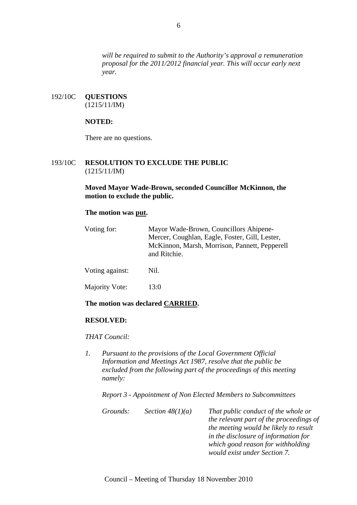*will be required to submit to the Authority's approval a remuneration proposal for the 2011/2012 financial year. This will occur early next year.* 

192/10C **QUESTIONS** (1215/11/IM)

## **NOTED:**

There are no questions.

## 193/10C **RESOLUTION TO EXCLUDE THE PUBLIC** (1215/11/IM)

**Moved Mayor Wade-Brown, seconded Councillor McKinnon, the motion to exclude the public.** 

## **The motion was put.**

| Voting for:     | Mayor Wade-Brown, Councillors Ahipene-<br>Mercer, Coughlan, Eagle, Foster, Gill, Lester,<br>McKinnon, Marsh, Morrison, Pannett, Pepperell<br>and Ritchie. |  |
|-----------------|-----------------------------------------------------------------------------------------------------------------------------------------------------------|--|
| Voting against: | Nil.                                                                                                                                                      |  |
| Majority Vote:  | 13:0                                                                                                                                                      |  |

#### **The motion was declared CARRIED.**

#### **RESOLVED:**

#### *THAT Council:*

*1. Pursuant to the provisions of the Local Government Official Information and Meetings Act 1987, resolve that the public be excluded from the following part of the proceedings of this meeting namely:* 

*Report 3 - Appointment of Non Elected Members to Subcommittees* 

| Grounds: | Section $48(1)(a)$ | That public conduct of the whole or     |
|----------|--------------------|-----------------------------------------|
|          |                    | the relevant part of the proceedings of |
|          |                    | the meeting would be likely to result   |
|          |                    | in the disclosure of information for    |
|          |                    | which good reason for withholding       |
|          |                    | would exist under Section 7.            |